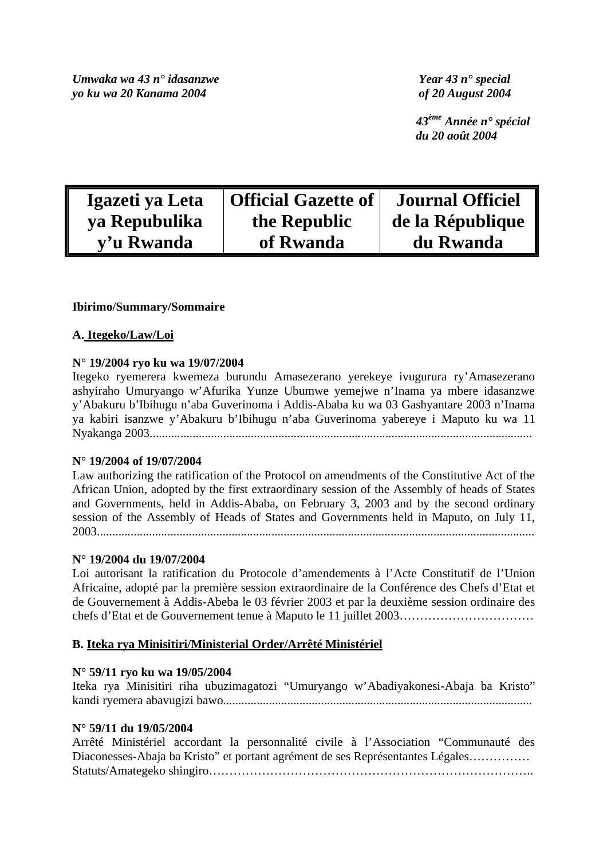*Umwaka wa 43 n° idasanzwe Year 43 n° special yo ku wa 20 Kanama 2004 of 20 August 2004* 

 *43ème Année n° spécial du 20 août 2004* 

| Igazeti ya Leta | <b>Official Gazette of</b> | <b>Journal Officiel</b> |
|-----------------|----------------------------|-------------------------|
| ya Repubulika   | the Republic               | de la République        |
| y'u Rwanda      | of Rwanda                  | du Rwanda               |

## **Ibirimo/Summary/Sommaire**

## **A. Itegeko/Law/Loi**

## **N° 19/2004 ryo ku wa 19/07/2004**

Itegeko ryemerera kwemeza burundu Amasezerano yerekeye ivugurura ry'Amasezerano ashyiraho Umuryango w'Afurika Yunze Ubumwe yemejwe n'Inama ya mbere idasanzwe y'Abakuru b'Ibihugu n'aba Guverinoma i Addis-Ababa ku wa 03 Gashyantare 2003 n'Inama ya kabiri isanzwe y'Abakuru b'Ibihugu n'aba Guverinoma yabereye i Maputo ku wa 11 Nyakanga 2003.............................................................................................................................

#### **N° 19/2004 of 19/07/2004**

Law authorizing the ratification of the Protocol on amendments of the Constitutive Act of the African Union, adopted by the first extraordinary session of the Assembly of heads of States and Governments, held in Addis-Ababa, on February 3, 2003 and by the second ordinary session of the Assembly of Heads of States and Governments held in Maputo, on July 11, 2003...............................................................................................................................................

#### **N° 19/2004 du 19/07/2004**

Loi autorisant la ratification du Protocole d'amendements à l'Acte Constitutif de l'Union Africaine, adopté par la première session extraordinaire de la Conférence des Chefs d'Etat et de Gouvernement à Addis-Abeba le 03 février 2003 et par la deuxième session ordinaire des chefs d'Etat et de Gouvernement tenue à Maputo le 11 juillet 2003……………………………

## **B. Iteka rya Minisitiri/Ministerial Order/Arrêté Ministériel**

#### **N° 59/11 ryo ku wa 19/05/2004**

Iteka rya Minisitiri riha ubuzimagatozi "Umuryango w'Abadiyakonesi-Abaja ba Kristo" kandi ryemera abavugizi bawo.....................................................................................................

### **N° 59/11 du 19/05/2004**

|                                                                                |  |  |  |  |  |  |  | Arrêté Ministériel accordant la personnalité civile à l'Association "Communauté des |  |  |  |
|--------------------------------------------------------------------------------|--|--|--|--|--|--|--|-------------------------------------------------------------------------------------|--|--|--|
| Diaconesses-Abaja ba Kristo" et portant agrément de ses Représentantes Légales |  |  |  |  |  |  |  |                                                                                     |  |  |  |
|                                                                                |  |  |  |  |  |  |  |                                                                                     |  |  |  |